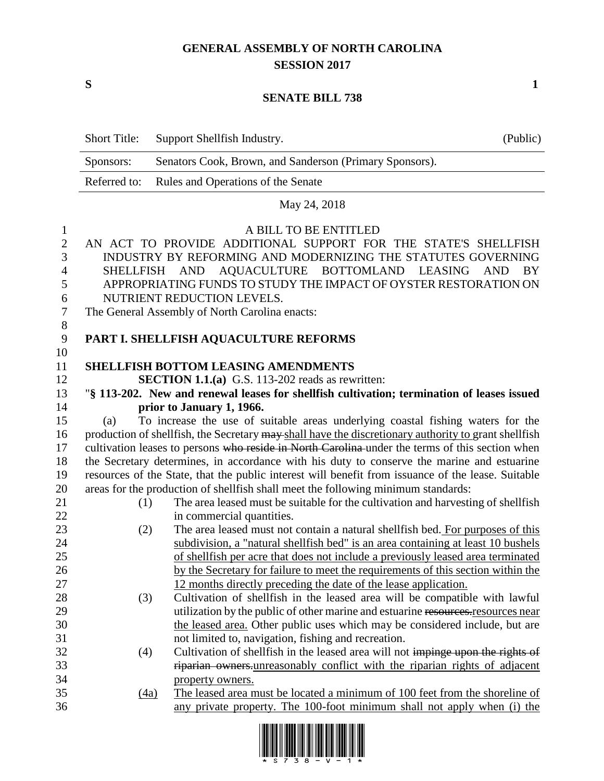### **GENERAL ASSEMBLY OF NORTH CAROLINA SESSION 2017**

**S 1**

#### **SENATE BILL 738**

|                                                       | <b>Short Title:</b>                                                                                                                                                                                                                                                                                                                                                                                 | Support Shellfish Industry.                                                                             | (Public) |  |  |
|-------------------------------------------------------|-----------------------------------------------------------------------------------------------------------------------------------------------------------------------------------------------------------------------------------------------------------------------------------------------------------------------------------------------------------------------------------------------------|---------------------------------------------------------------------------------------------------------|----------|--|--|
|                                                       | Sponsors:                                                                                                                                                                                                                                                                                                                                                                                           | Senators Cook, Brown, and Sanderson (Primary Sponsors).                                                 |          |  |  |
|                                                       | Referred to:                                                                                                                                                                                                                                                                                                                                                                                        | Rules and Operations of the Senate                                                                      |          |  |  |
|                                                       |                                                                                                                                                                                                                                                                                                                                                                                                     | May 24, 2018                                                                                            |          |  |  |
| $\mathbf{I}$<br>$\mathbf{2}$<br>3<br>4<br>5<br>6<br>7 | A BILL TO BE ENTITLED<br>AN ACT TO PROVIDE ADDITIONAL SUPPORT FOR THE STATE'S SHELLFISH<br>INDUSTRY BY REFORMING AND MODERNIZING THE STATUTES GOVERNING<br>AQUACULTURE BOTTOMLAND LEASING<br><b>SHELLFISH</b><br><b>AND</b><br><b>AND</b><br>BY<br>APPROPRIATING FUNDS TO STUDY THE IMPACT OF OYSTER RESTORATION ON<br>NUTRIENT REDUCTION LEVELS.<br>The General Assembly of North Carolina enacts: |                                                                                                         |          |  |  |
| 8<br>9                                                |                                                                                                                                                                                                                                                                                                                                                                                                     | PART I. SHELLFISH AQUACULTURE REFORMS                                                                   |          |  |  |
| 10<br>11<br>12                                        |                                                                                                                                                                                                                                                                                                                                                                                                     | <b>SHELLFISH BOTTOM LEASING AMENDMENTS</b><br>SECTION 1.1.(a) G.S. 113-202 reads as rewritten:          |          |  |  |
| 13                                                    |                                                                                                                                                                                                                                                                                                                                                                                                     | "§ 113-202. New and renewal leases for shellfish cultivation; termination of leases issued              |          |  |  |
| 14                                                    |                                                                                                                                                                                                                                                                                                                                                                                                     | prior to January 1, 1966.                                                                               |          |  |  |
| 15                                                    | (a)                                                                                                                                                                                                                                                                                                                                                                                                 | To increase the use of suitable areas underlying coastal fishing waters for the                         |          |  |  |
| 16<br>17<br>18                                        | production of shellfish, the Secretary may shall have the discretionary authority to grant shellfish<br>cultivation leases to persons who reside in North Carolina under the terms of this section when<br>the Secretary determines, in accordance with his duty to conserve the marine and estuarine                                                                                               |                                                                                                         |          |  |  |
| 19                                                    |                                                                                                                                                                                                                                                                                                                                                                                                     | resources of the State, that the public interest will benefit from issuance of the lease. Suitable      |          |  |  |
| 20                                                    |                                                                                                                                                                                                                                                                                                                                                                                                     | areas for the production of shellfish shall meet the following minimum standards:                       |          |  |  |
| 21                                                    | (1)                                                                                                                                                                                                                                                                                                                                                                                                 | The area leased must be suitable for the cultivation and harvesting of shellfish                        |          |  |  |
| 22                                                    |                                                                                                                                                                                                                                                                                                                                                                                                     | in commercial quantities.                                                                               |          |  |  |
| 23                                                    | (2)                                                                                                                                                                                                                                                                                                                                                                                                 | The area leased must not contain a natural shellfish bed. For purposes of this                          |          |  |  |
| 24                                                    |                                                                                                                                                                                                                                                                                                                                                                                                     | subdivision, a "natural shellfish bed" is an area containing at least 10 bushels                        |          |  |  |
| 25                                                    |                                                                                                                                                                                                                                                                                                                                                                                                     | of shellfish per acre that does not include a previously leased area terminated                         |          |  |  |
| 26                                                    |                                                                                                                                                                                                                                                                                                                                                                                                     | by the Secretary for failure to meet the requirements of this section within the                        |          |  |  |
| 27                                                    |                                                                                                                                                                                                                                                                                                                                                                                                     | 12 months directly preceding the date of the lease application.                                         |          |  |  |
| 28                                                    | (3)                                                                                                                                                                                                                                                                                                                                                                                                 | Cultivation of shellfish in the leased area will be compatible with lawful                              |          |  |  |
| 29                                                    |                                                                                                                                                                                                                                                                                                                                                                                                     | utilization by the public of other marine and estuarine resources.resources near                        |          |  |  |
| 30                                                    |                                                                                                                                                                                                                                                                                                                                                                                                     | the leased area. Other public uses which may be considered include, but are                             |          |  |  |
| 31                                                    |                                                                                                                                                                                                                                                                                                                                                                                                     | not limited to, navigation, fishing and recreation.                                                     |          |  |  |
| 32                                                    | (4)                                                                                                                                                                                                                                                                                                                                                                                                 | Cultivation of shellfish in the leased area will not impinge upon the rights of                         |          |  |  |
| 33<br>34                                              |                                                                                                                                                                                                                                                                                                                                                                                                     | riparian owners unreasonably conflict with the riparian rights of adjacent                              |          |  |  |
| 35                                                    |                                                                                                                                                                                                                                                                                                                                                                                                     | property owners.<br>The leased area must be located a minimum of 100 feet from the shoreline of<br>(4a) |          |  |  |
| 36                                                    |                                                                                                                                                                                                                                                                                                                                                                                                     | any private property. The 100-foot minimum shall not apply when (i) the                                 |          |  |  |

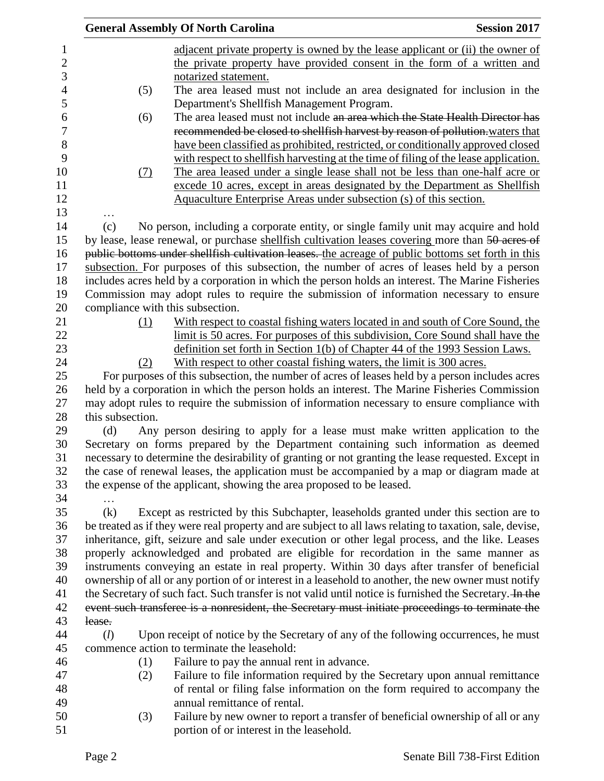|                  |                                  | <b>General Assembly Of North Carolina</b>                                                                | <b>Session 2017</b> |
|------------------|----------------------------------|----------------------------------------------------------------------------------------------------------|---------------------|
| $\mathbf{1}$     |                                  | adjacent private property is owned by the lease applicant or (ii) the owner of                           |                     |
| $\sqrt{2}$       |                                  | the private property have provided consent in the form of a written and                                  |                     |
| 3                |                                  | notarized statement.                                                                                     |                     |
| $\overline{4}$   | (5)                              | The area leased must not include an area designated for inclusion in the                                 |                     |
| 5                |                                  | Department's Shellfish Management Program.                                                               |                     |
| $\boldsymbol{6}$ | (6)                              | The area leased must not include an area which the State Health Director has                             |                     |
| $\overline{7}$   |                                  | recommended be closed to shellfish harvest by reason of pollution. waters that                           |                     |
| 8                |                                  | have been classified as prohibited, restricted, or conditionally approved closed                         |                     |
| 9                |                                  | with respect to shell fish harvesting at the time of filing of the lease application.                    |                     |
| 10               | (7)                              | The area leased under a single lease shall not be less than one-half acre or                             |                     |
| 11               |                                  | excede 10 acres, except in areas designated by the Department as Shellfish                               |                     |
| 12               |                                  | Aquaculture Enterprise Areas under subsection (s) of this section.                                       |                     |
| 13               |                                  |                                                                                                          |                     |
| 14               | (c)                              | No person, including a corporate entity, or single family unit may acquire and hold                      |                     |
| 15               |                                  | by lease, lease renewal, or purchase shellfish cultivation leases covering more than 50 acres of         |                     |
| 16               |                                  | public bottoms under shellfish cultivation leases. the acreage of public bottoms set forth in this       |                     |
| 17               |                                  | subsection. For purposes of this subsection, the number of acres of leases held by a person              |                     |
| 18               |                                  | includes acres held by a corporation in which the person holds an interest. The Marine Fisheries         |                     |
| 19               |                                  |                                                                                                          |                     |
| 20               |                                  | Commission may adopt rules to require the submission of information necessary to ensure                  |                     |
|                  | compliance with this subsection. |                                                                                                          |                     |
| 21               | (1)                              | With respect to coastal fishing waters located in and south of Core Sound, the                           |                     |
| 22               |                                  | limit is 50 acres. For purposes of this subdivision, Core Sound shall have the                           |                     |
| 23               |                                  | definition set forth in Section 1(b) of Chapter 44 of the 1993 Session Laws.                             |                     |
| 24               | (2)                              | With respect to other coastal fishing waters, the limit is 300 acres.                                    |                     |
| 25               |                                  | For purposes of this subsection, the number of acres of leases held by a person includes acres           |                     |
| 26               |                                  | held by a corporation in which the person holds an interest. The Marine Fisheries Commission             |                     |
| 27               |                                  | may adopt rules to require the submission of information necessary to ensure compliance with             |                     |
| 28               | this subsection.                 |                                                                                                          |                     |
| 29<br>30         | (d)                              | Any person desiring to apply for a lease must make written application to the                            |                     |
| 31               |                                  | Secretary on forms prepared by the Department containing such information as deemed                      |                     |
|                  |                                  | necessary to determine the desirability of granting or not granting the lease requested. Except in       |                     |
| 32               |                                  | the case of renewal leases, the application must be accompanied by a map or diagram made at              |                     |
| 33               |                                  | the expense of the applicant, showing the area proposed to be leased.                                    |                     |
| 34               |                                  |                                                                                                          |                     |
| 35               | (k)                              | Except as restricted by this Subchapter, leaseholds granted under this section are to                    |                     |
| 36               |                                  | be treated as if they were real property and are subject to all laws relating to taxation, sale, devise, |                     |
| 37               |                                  | inheritance, gift, seizure and sale under execution or other legal process, and the like. Leases         |                     |
| 38               |                                  | properly acknowledged and probated are eligible for recordation in the same manner as                    |                     |
| 39               |                                  | instruments conveying an estate in real property. Within 30 days after transfer of beneficial            |                     |
| 40               |                                  | ownership of all or any portion of or interest in a leasehold to another, the new owner must notify      |                     |
| 41               |                                  | the Secretary of such fact. Such transfer is not valid until notice is furnished the Secretary. In the   |                     |
| 42               |                                  | event such transferee is a nonresident, the Secretary must initiate proceedings to terminate the         |                     |
| 43               | lease.                           |                                                                                                          |                     |
| 44               | (l)                              | Upon receipt of notice by the Secretary of any of the following occurrences, he must                     |                     |
| 45               |                                  | commence action to terminate the leasehold:                                                              |                     |
| 46               | (1)                              | Failure to pay the annual rent in advance.                                                               |                     |
| 47               | (2)                              | Failure to file information required by the Secretary upon annual remittance                             |                     |
| 48               |                                  | of rental or filing false information on the form required to accompany the                              |                     |
| 49               |                                  | annual remittance of rental.                                                                             |                     |
| 50               | (3)                              | Failure by new owner to report a transfer of beneficial ownership of all or any                          |                     |
| 51               |                                  | portion of or interest in the leasehold.                                                                 |                     |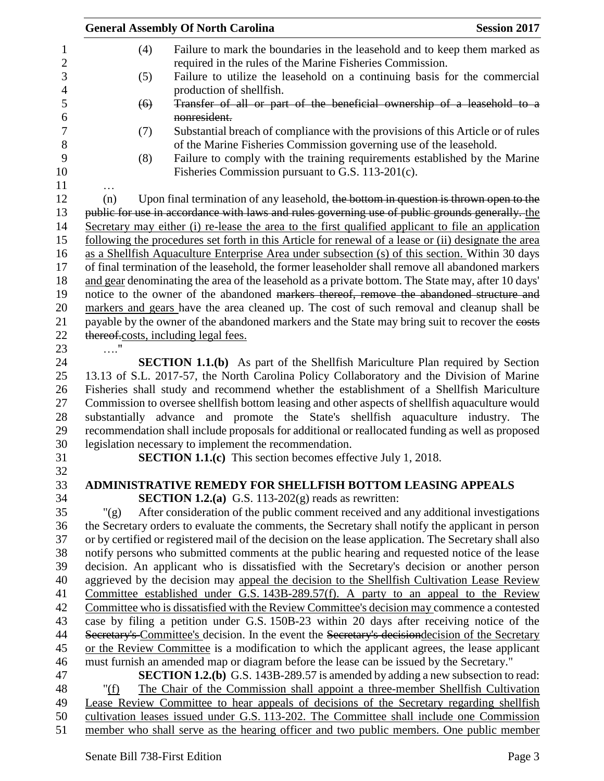|                  | <b>General Assembly Of North Carolina</b> |                                                                                                       | <b>Session 2017</b> |
|------------------|-------------------------------------------|-------------------------------------------------------------------------------------------------------|---------------------|
| $\mathbf{1}$     | (4)                                       | Failure to mark the boundaries in the leasehold and to keep them marked as                            |                     |
| $\sqrt{2}$       |                                           | required in the rules of the Marine Fisheries Commission.                                             |                     |
| 3                | (5)                                       | Failure to utilize the leasehold on a continuing basis for the commercial                             |                     |
| $\overline{4}$   |                                           | production of shellfish.                                                                              |                     |
| 5                | (6)                                       | Transfer of all or part of the beneficial ownership of a leasehold to a                               |                     |
| $\boldsymbol{6}$ |                                           | nonresident.                                                                                          |                     |
| $\boldsymbol{7}$ | (7)                                       | Substantial breach of compliance with the provisions of this Article or of rules                      |                     |
| 8                |                                           | of the Marine Fisheries Commission governing use of the leasehold.                                    |                     |
| 9                | (8)                                       | Failure to comply with the training requirements established by the Marine                            |                     |
| 10               |                                           | Fisheries Commission pursuant to G.S. 113-201(c).                                                     |                     |
| 11               |                                           |                                                                                                       |                     |
| 12               | (n)                                       | Upon final termination of any leasehold, the bottom in question is thrown open to the                 |                     |
| 13               |                                           | public for use in accordance with laws and rules governing use of public grounds generally. the       |                     |
| 14               |                                           | Secretary may either (i) re-lease the area to the first qualified applicant to file an application    |                     |
| 15               |                                           | following the procedures set forth in this Article for renewal of a lease or (ii) designate the area  |                     |
| 16               |                                           | as a Shellfish Aquaculture Enterprise Area under subsection (s) of this section. Within 30 days       |                     |
| 17               |                                           | of final termination of the leasehold, the former leaseholder shall remove all abandoned markers      |                     |
| 18               |                                           | and gear denominating the area of the leasehold as a private bottom. The State may, after 10 days'    |                     |
| 19               |                                           | notice to the owner of the abandoned markers thereof, remove the abandoned structure and              |                     |
| 20               |                                           | markers and gears have the area cleaned up. The cost of such removal and cleanup shall be             |                     |
| 21               |                                           | payable by the owner of the abandoned markers and the State may bring suit to recover the costs       |                     |
| 22               |                                           | thereof.costs, including legal fees.                                                                  |                     |
| 23               | .                                         |                                                                                                       |                     |
| 24               |                                           | <b>SECTION 1.1.(b)</b> As part of the Shellfish Mariculture Plan required by Section                  |                     |
| 25               |                                           | 13.13 of S.L. 2017-57, the North Carolina Policy Collaboratory and the Division of Marine             |                     |
| 26               |                                           | Fisheries shall study and recommend whether the establishment of a Shellfish Mariculture              |                     |
| 27               |                                           | Commission to oversee shellfish bottom leasing and other aspects of shellfish aquaculture would       |                     |
| 28               |                                           | substantially advance and promote the State's shellfish aquaculture industry. The                     |                     |
| 29               |                                           | recommendation shall include proposals for additional or reallocated funding as well as proposed      |                     |
| 30               |                                           | legislation necessary to implement the recommendation.                                                |                     |
| 31               |                                           | <b>SECTION 1.1.(c)</b> This section becomes effective July 1, 2018.                                   |                     |
| 32               |                                           |                                                                                                       |                     |
| 33               |                                           | <b>ADMINISTRATIVE REMEDY FOR SHELLFISH BOTTOM LEASING APPEALS</b>                                     |                     |
| 34               |                                           | <b>SECTION 1.2.(a)</b> G.S. 113-202(g) reads as rewritten:                                            |                     |
| 35               | " $(g)$                                   | After consideration of the public comment received and any additional investigations                  |                     |
| 36               |                                           | the Secretary orders to evaluate the comments, the Secretary shall notify the applicant in person     |                     |
| 37               |                                           | or by certified or registered mail of the decision on the lease application. The Secretary shall also |                     |
| 38               |                                           | notify persons who submitted comments at the public hearing and requested notice of the lease         |                     |
| 39               |                                           | decision. An applicant who is dissatisfied with the Secretary's decision or another person            |                     |
| 40               |                                           | aggrieved by the decision may appeal the decision to the Shellfish Cultivation Lease Review           |                     |
| 41               |                                           | Committee established under G.S. 143B-289.57(f). A party to an appeal to the Review                   |                     |
| 42               |                                           | Committee who is dissatisfied with the Review Committee's decision may commence a contested           |                     |
| 43               |                                           | case by filing a petition under G.S. 150B-23 within 20 days after receiving notice of the             |                     |
| 44               |                                           | Secretary's Committee's decision. In the event the Secretary's decisiondecision of the Secretary      |                     |
| 45               |                                           | or the Review Committee is a modification to which the applicant agrees, the lease applicant          |                     |
| 46               |                                           | must furnish an amended map or diagram before the lease can be issued by the Secretary."              |                     |
| 47               |                                           | <b>SECTION 1.2.(b)</b> G.S. 143B-289.57 is amended by adding a new subsection to read:                |                     |
| 48               | " $(f)$                                   | The Chair of the Commission shall appoint a three-member Shellfish Cultivation                        |                     |
| 49               |                                           | Lease Review Committee to hear appeals of decisions of the Secretary regarding shellfish              |                     |
| 50               |                                           | cultivation leases issued under G.S. 113-202. The Committee shall include one Commission              |                     |
| 51               |                                           | member who shall serve as the hearing officer and two public members. One public member               |                     |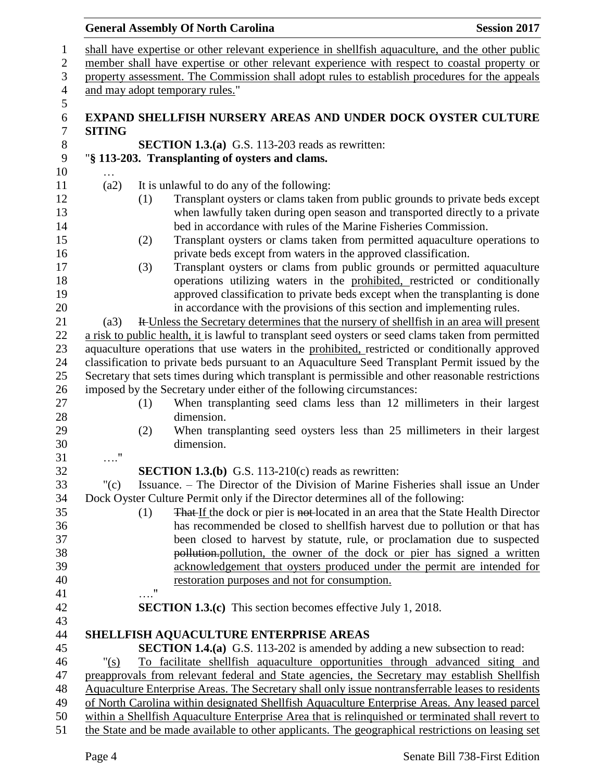#### **General Assembly Of North Carolina Session 2017**  shall have expertise or other relevant experience in shellfish aquaculture, and the other public member shall have expertise or other relevant experience with respect to coastal property or property assessment. The Commission shall adopt rules to establish procedures for the appeals and may adopt temporary rules." **EXPAND SHELLFISH NURSERY AREAS AND UNDER DOCK OYSTER CULTURE SITING SECTION 1.3.(a)** G.S. 113-203 reads as rewritten: "**§ 113-203. Transplanting of oysters and clams.** … (a2) It is unlawful to do any of the following: (1) Transplant oysters or clams taken from public grounds to private beds except when lawfully taken during open season and transported directly to a private bed in accordance with rules of the Marine Fisheries Commission. (2) Transplant oysters or clams taken from permitted aquaculture operations to private beds except from waters in the approved classification. (3) Transplant oysters or clams from public grounds or permitted aquaculture operations utilizing waters in the prohibited, restricted or conditionally approved classification to private beds except when the transplanting is done in accordance with the provisions of this section and implementing rules. (a3) It Unless the Secretary determines that the nursery of shellfish in an area will present a risk to public health, it is lawful to transplant seed oysters or seed clams taken from permitted aquaculture operations that use waters in the prohibited, restricted or conditionally approved classification to private beds pursuant to an Aquaculture Seed Transplant Permit issued by the Secretary that sets times during which transplant is permissible and other reasonable restrictions imposed by the Secretary under either of the following circumstances: (1) When transplanting seed clams less than 12 millimeters in their largest dimension. (2) When transplanting seed oysters less than 25 millimeters in their largest dimension. …." **SECTION 1.3.(b)** G.S. 113-210(c) reads as rewritten: "(c) Issuance. – The Director of the Division of Marine Fisheries shall issue an Under Dock Oyster Culture Permit only if the Director determines all of the following: 35 (1) That If the dock or pier is not-located in an area that the State Health Director has recommended be closed to shellfish harvest due to pollution or that has been closed to harvest by statute, rule, or proclamation due to suspected **pollution.** pollution, the owner of the dock or pier has signed a written acknowledgement that oysters produced under the permit are intended for restoration purposes and not for consumption. …." **SECTION 1.3.(c)** This section becomes effective July 1, 2018. **SHELLFISH AQUACULTURE ENTERPRISE AREAS SECTION 1.4.(a)** G.S. 113-202 is amended by adding a new subsection to read: "(s) To facilitate shellfish aquaculture opportunities through advanced siting and preapprovals from relevant federal and State agencies, the Secretary may establish Shellfish Aquaculture Enterprise Areas. The Secretary shall only issue nontransferrable leases to residents of North Carolina within designated Shellfish Aquaculture Enterprise Areas. Any leased parcel within a Shellfish Aquaculture Enterprise Area that is relinquished or terminated shall revert to the State and be made available to other applicants. The geographical restrictions on leasing set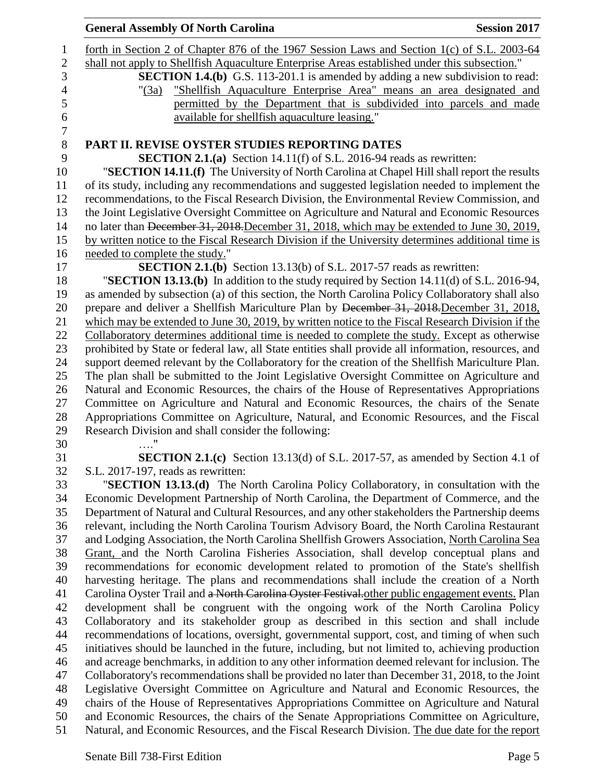|                                    | <b>General Assembly Of North Carolina</b>                                                            | <b>Session 2017</b> |
|------------------------------------|------------------------------------------------------------------------------------------------------|---------------------|
|                                    | forth in Section 2 of Chapter 876 of the 1967 Session Laws and Section 1(c) of S.L. 2003-64          |                     |
|                                    | shall not apply to Shellfish Aquaculture Enterprise Areas established under this subsection."        |                     |
|                                    | <b>SECTION 1.4.(b)</b> G.S. 113-201.1 is amended by adding a new subdivision to read:                |                     |
| " $(3a)$                           | "Shellfish Aquaculture Enterprise Area" means an area designated and                                 |                     |
|                                    | permitted by the Department that is subdivided into parcels and made                                 |                     |
|                                    | available for shellfish aquaculture leasing."                                                        |                     |
|                                    |                                                                                                      |                     |
|                                    | PART II. REVISE OYSTER STUDIES REPORTING DATES                                                       |                     |
|                                    | <b>SECTION 2.1.(a)</b> Section 14.11(f) of S.L. 2016-94 reads as rewritten:                          |                     |
|                                    | "SECTION 14.11.(f) The University of North Carolina at Chapel Hill shall report the results          |                     |
|                                    | of its study, including any recommendations and suggested legislation needed to implement the        |                     |
|                                    | recommendations, to the Fiscal Research Division, the Environmental Review Commission, and           |                     |
|                                    | the Joint Legislative Oversight Committee on Agriculture and Natural and Economic Resources          |                     |
|                                    | no later than December 31, 2018. December 31, 2018, which may be extended to June 30, 2019,          |                     |
|                                    | by written notice to the Fiscal Research Division if the University determines additional time is    |                     |
| needed to complete the study."     |                                                                                                      |                     |
|                                    | <b>SECTION 2.1.(b)</b> Section 13.13(b) of S.L. 2017-57 reads as rewritten:                          |                     |
|                                    | "SECTION 13.13.(b) In addition to the study required by Section 14.11(d) of S.L. 2016-94,            |                     |
|                                    | as amended by subsection (a) of this section, the North Carolina Policy Collaboratory shall also     |                     |
|                                    | prepare and deliver a Shellfish Mariculture Plan by December 31, 2018. December 31, 2018,            |                     |
|                                    | which may be extended to June 30, 2019, by written notice to the Fiscal Research Division if the     |                     |
|                                    | Collaboratory determines additional time is needed to complete the study. Except as otherwise        |                     |
|                                    | prohibited by State or federal law, all State entities shall provide all information, resources, and |                     |
|                                    | support deemed relevant by the Collaboratory for the creation of the Shellfish Mariculture Plan.     |                     |
|                                    | The plan shall be submitted to the Joint Legislative Oversight Committee on Agriculture and          |                     |
|                                    | Natural and Economic Resources, the chairs of the House of Representatives Appropriations            |                     |
|                                    | Committee on Agriculture and Natural and Economic Resources, the chairs of the Senate                |                     |
|                                    | Appropriations Committee on Agriculture, Natural, and Economic Resources, and the Fiscal             |                     |
|                                    | Research Division and shall consider the following:                                                  |                     |
|                                    |                                                                                                      |                     |
|                                    | <b>SECTION 2.1.(c)</b> Section 13.13(d) of S.L. 2017-57, as amended by Section 4.1 of                |                     |
| S.L. 2017-197, reads as rewritten: |                                                                                                      |                     |
|                                    | "SECTION 13.13.(d) The North Carolina Policy Collaboratory, in consultation with the                 |                     |
|                                    | Economic Development Partnership of North Carolina, the Department of Commerce, and the              |                     |
|                                    | Department of Natural and Cultural Resources, and any other stakeholders the Partnership deems       |                     |
|                                    | relevant, including the North Carolina Tourism Advisory Board, the North Carolina Restaurant         |                     |
|                                    | and Lodging Association, the North Carolina Shellfish Growers Association, North Carolina Sea        |                     |
|                                    | Grant, and the North Carolina Fisheries Association, shall develop conceptual plans and              |                     |
|                                    | recommendations for economic development related to promotion of the State's shellfish               |                     |
|                                    | harvesting heritage. The plans and recommendations shall include the creation of a North             |                     |
|                                    | Carolina Oyster Trail and a North Carolina Oyster Festival other public engagement events. Plan      |                     |
|                                    | development shall be congruent with the ongoing work of the North Carolina Policy                    |                     |
|                                    | Collaboratory and its stakeholder group as described in this section and shall include               |                     |
|                                    | recommendations of locations, oversight, governmental support, cost, and timing of when such         |                     |
|                                    | initiatives should be launched in the future, including, but not limited to, achieving production    |                     |
|                                    | and acreage benchmarks, in addition to any other information deemed relevant for inclusion. The      |                     |
|                                    | Collaboratory's recommendations shall be provided no later than December 31, 2018, to the Joint      |                     |
|                                    | Legislative Oversight Committee on Agriculture and Natural and Economic Resources, the               |                     |
|                                    | chairs of the House of Representatives Appropriations Committee on Agriculture and Natural           |                     |
|                                    | and Economic Resources, the chairs of the Senate Appropriations Committee on Agriculture,            |                     |
|                                    | Natural, and Economic Resources, and the Fiscal Research Division. The due date for the report       |                     |